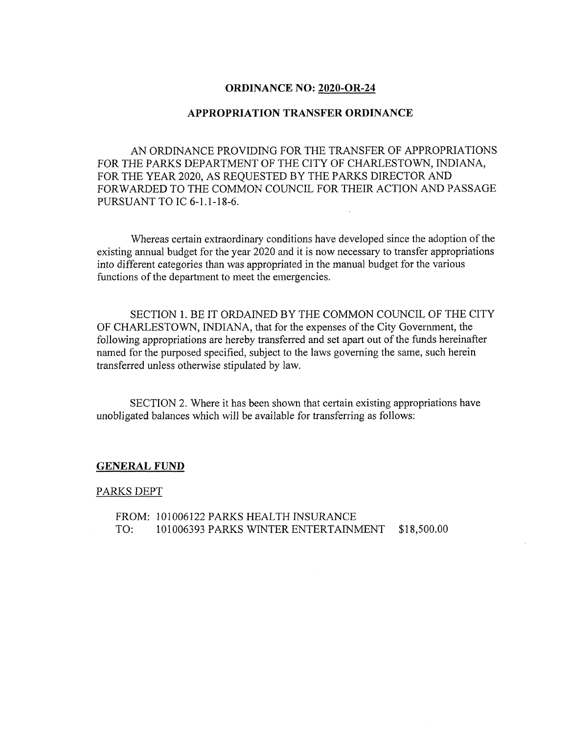## **ORDINANCE NO: 2020-OR-24**

## **APPROPRIATION TRANSFER ORDINANCE**

AN ORDINANCE PROVIDING FOR THE TRANSFER OF APPROPRIATIONS FOR THE PARKS DEPARTMENT OF THE CITY OF CHARLESTOWN, INDIANA, FOR THE YEAR 2020, AS REQUESTED BY THE PARKS DIRECTOR AND FORWARDED TO THE COMMON COUNCIL FOR THEIR ACTION AND PASSAGE PURSUANT TO IC 6-1.1-18-6.

Whereas certain extraordinary conditions have developed since the adoption of the existing annual budget for the year 2020 and it is now necessary to transfer appropriations into different categories than was appropriated in the manual budget for the various functions of the department to meet the emergencies.

SECTION 1. BE IT ORDAINED BY THE COMMON COUNCIL OF THE CITY OF CHARLESTOWN, INDIANA, that for the expenses ofthe City Government, the following appropriations are hereby transferred and set apart out of the funds hereinafter named for the purposed specified, subject to the laws governing the same, such herein transferred unless otherwise stipulated by law.

SECTION 2. Where it has been shown that certain existing appropriations have unobligated balances which will be available for transferring as follows;

## **GENERAL FUND**

## PARKS DEPT

FROM: 101006122 PARKS HEALTH INSURANCE TO: 101006393 PARKS WINTER ENTERTAINMENT \$18,500.00